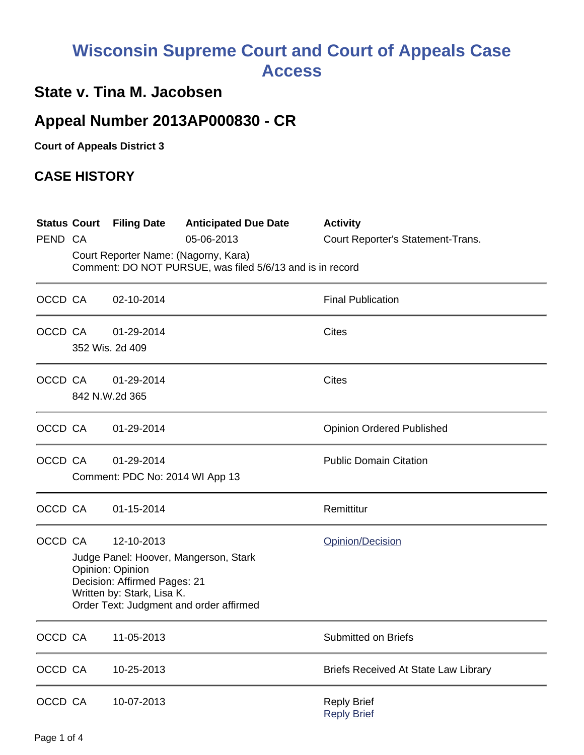## **Wisconsin Supreme Court and Court of Appeals Case Access**

## **State v. Tina M. Jacobsen**

## **Appeal Number 2013AP000830 - CR**

**Court of Appeals District 3**

## **CASE HISTORY**

| PEND CA |                                                                                                                                                                                  | <b>Status Court Filing Date</b>               | <b>Anticipated Due Date</b><br>05-06-2013 | <b>Activity</b><br>Court Reporter's Statement-Trans. |  |  |
|---------|----------------------------------------------------------------------------------------------------------------------------------------------------------------------------------|-----------------------------------------------|-------------------------------------------|------------------------------------------------------|--|--|
|         | Court Reporter Name: (Nagorny, Kara)<br>Comment: DO NOT PURSUE, was filed 5/6/13 and is in record                                                                                |                                               |                                           |                                                      |  |  |
| OCCD CA |                                                                                                                                                                                  | 02-10-2014                                    |                                           | <b>Final Publication</b>                             |  |  |
|         | OCCD CA                                                                                                                                                                          | 01-29-2014<br>352 Wis. 2d 409                 |                                           | <b>Cites</b>                                         |  |  |
|         | OCCD CA                                                                                                                                                                          | 01-29-2014<br>842 N.W.2d 365                  |                                           | <b>Cites</b>                                         |  |  |
|         | OCCD CA                                                                                                                                                                          | 01-29-2014                                    |                                           | <b>Opinion Ordered Published</b>                     |  |  |
| OCCD CA |                                                                                                                                                                                  | 01-29-2014<br>Comment: PDC No: 2014 WI App 13 |                                           | <b>Public Domain Citation</b>                        |  |  |
|         | OCCD CA                                                                                                                                                                          | 01-15-2014                                    |                                           | Remittitur                                           |  |  |
| OCCD CA | 12-10-2013<br>Judge Panel: Hoover, Mangerson, Stark<br>Opinion: Opinion<br>Decision: Affirmed Pages: 21<br>Written by: Stark, Lisa K.<br>Order Text: Judgment and order affirmed |                                               |                                           | Opinion/Decision                                     |  |  |
| OCCD CA |                                                                                                                                                                                  | 11-05-2013                                    |                                           | Submitted on Briefs                                  |  |  |
| OCCD CA |                                                                                                                                                                                  | 10-25-2013                                    |                                           | Briefs Received At State Law Library                 |  |  |
| OCCD CA |                                                                                                                                                                                  | 10-07-2013                                    |                                           | <b>Reply Brief</b><br><b>Reply Brief</b>             |  |  |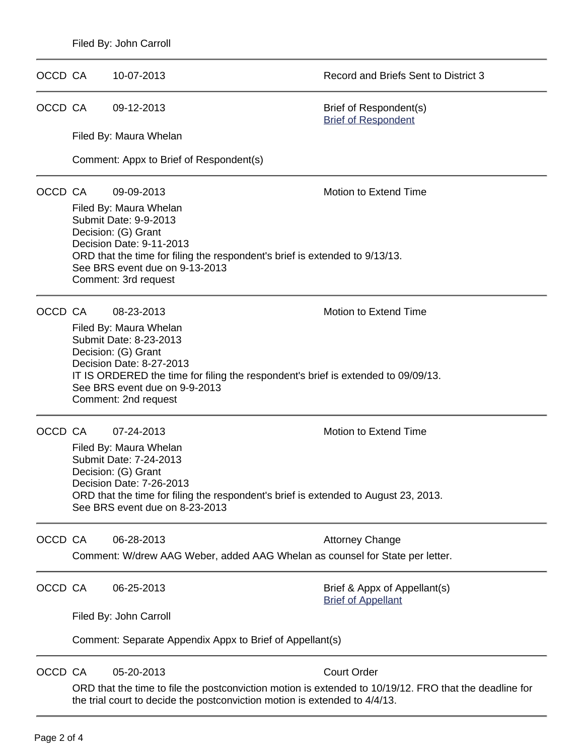OCCD CA 09-12-2013 Brief of Respondent(s)

Filed By: Maura Whelan

Comment: Appx to Brief of Respondent(s)

OCCD CA 09-09-2013 Motion to Extend Time

OCCD CA 10-07-2013 Record and Briefs Sent to District 3

[Brief of Respondent](https://acefiling.wicourts.gov/document/eFiled/2013AP000830/102017)

Filed By: Maura Whelan Submit Date: 9-9-2013 Decision: (G) Grant Decision Date: 9-11-2013 ORD that the time for filing the respondent's brief is extended to 9/13/13. See BRS event due on 9-13-2013 Comment: 3rd request

OCCD CA 08-23-2013 Motion to Extend Time

Filed By: Maura Whelan Submit Date: 8-23-2013 Decision: (G) Grant Decision Date: 8-27-2013 IT IS ORDERED the time for filing the respondent's brief is extended to 09/09/13. See BRS event due on 9-9-2013 Comment: 2nd request

OCCD CA 07-24-2013 Motion to Extend Time

Filed By: Maura Whelan Submit Date: 7-24-2013 Decision: (G) Grant Decision Date: 7-26-2013 ORD that the time for filing the respondent's brief is extended to August 23, 2013. See BRS event due on 8-23-2013

OCCD CA 06-28-2013 Attorney Change Comment: W/drew AAG Weber, added AAG Whelan as counsel for State per letter.

OCCD CA 06-25-2013 Brief & Appx of Appellant(s)

[Brief of Appellant](https://acefiling.wicourts.gov/document/eFiled/2013AP000830/98620)

Filed By: John Carroll

Comment: Separate Appendix Appx to Brief of Appellant(s)

OCCD CA 05-20-2013 Court Order

ORD that the time to file the postconviction motion is extended to 10/19/12. FRO that the deadline for the trial court to decide the postconviction motion is extended to 4/4/13.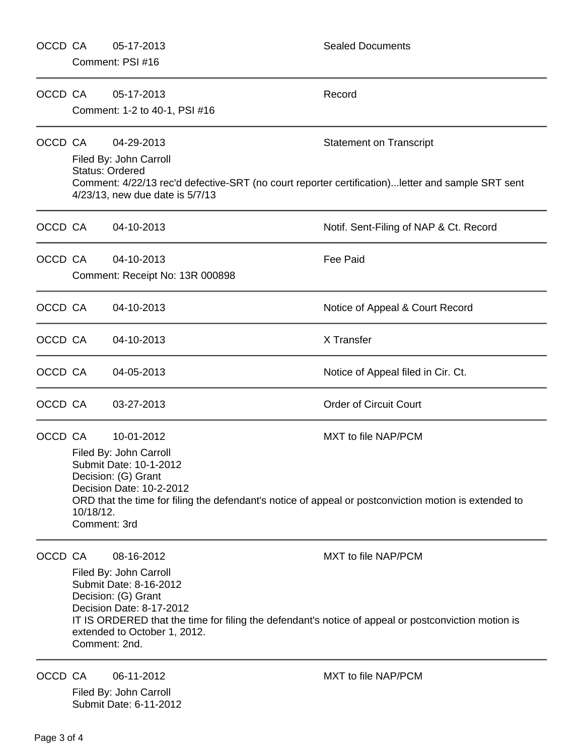| OCCD CA |                                                                                                                                                                                                                                                                                                  | 05-17-2013<br>Comment: PSI #16                                                                    | <b>Sealed Documents</b>                                                                                                             |  |
|---------|--------------------------------------------------------------------------------------------------------------------------------------------------------------------------------------------------------------------------------------------------------------------------------------------------|---------------------------------------------------------------------------------------------------|-------------------------------------------------------------------------------------------------------------------------------------|--|
| OCCD CA |                                                                                                                                                                                                                                                                                                  | 05-17-2013<br>Comment: 1-2 to 40-1, PSI #16                                                       | Record                                                                                                                              |  |
| OCCD CA |                                                                                                                                                                                                                                                                                                  | 04-29-2013<br>Filed By: John Carroll<br><b>Status: Ordered</b><br>4/23/13, new due date is 5/7/13 | <b>Statement on Transcript</b><br>Comment: 4/22/13 rec'd defective-SRT (no court reporter certification) letter and sample SRT sent |  |
| OCCD CA |                                                                                                                                                                                                                                                                                                  | 04-10-2013                                                                                        | Notif. Sent-Filing of NAP & Ct. Record                                                                                              |  |
| OCCD CA |                                                                                                                                                                                                                                                                                                  | 04-10-2013<br>Comment: Receipt No: 13R 000898                                                     | <b>Fee Paid</b>                                                                                                                     |  |
| OCCD CA |                                                                                                                                                                                                                                                                                                  | 04-10-2013                                                                                        | Notice of Appeal & Court Record                                                                                                     |  |
| OCCD CA |                                                                                                                                                                                                                                                                                                  | 04-10-2013                                                                                        | X Transfer                                                                                                                          |  |
| OCCD CA |                                                                                                                                                                                                                                                                                                  | 04-05-2013                                                                                        | Notice of Appeal filed in Cir. Ct.                                                                                                  |  |
| OCCD CA |                                                                                                                                                                                                                                                                                                  | 03-27-2013                                                                                        | <b>Order of Circuit Court</b>                                                                                                       |  |
| OCCD CA | MXT to file NAP/PCM<br>10-01-2012<br>Filed By: John Carroll<br>Submit Date: 10-1-2012<br>Decision: (G) Grant<br>Decision Date: 10-2-2012<br>ORD that the time for filing the defendant's notice of appeal or postconviction motion is extended to<br>10/18/12.<br>Comment: 3rd                   |                                                                                                   |                                                                                                                                     |  |
| OCCD CA | 08-16-2012<br>MXT to file NAP/PCM<br>Filed By: John Carroll<br>Submit Date: 8-16-2012<br>Decision: (G) Grant<br>Decision Date: 8-17-2012<br>IT IS ORDERED that the time for filing the defendant's notice of appeal or postconviction motion is<br>extended to October 1, 2012.<br>Comment: 2nd. |                                                                                                   |                                                                                                                                     |  |
| OCCD CA |                                                                                                                                                                                                                                                                                                  | 06-11-2012<br>Filed By: John Carroll<br>Submit Date: 6-11-2012                                    | MXT to file NAP/PCM                                                                                                                 |  |